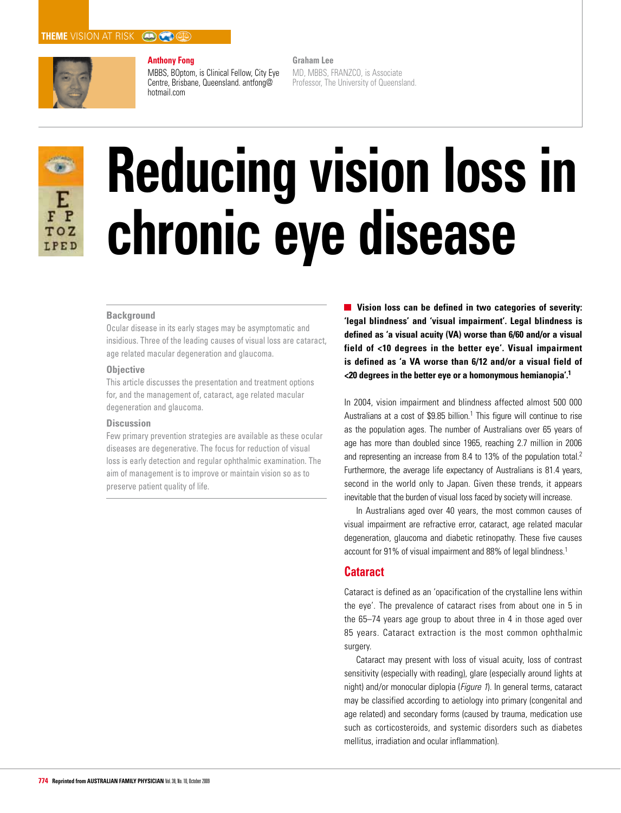# **THEME** VISION AT RISK **(A) B**



# **Anthony Fong**

MBBS, BOptom, is Clinical Fellow, City Eye Centre, Brisbane, Queensland. antfong@ hotmail.com

**Graham Lee**  MD, MBBS, FRANZCO, is Associate Professor, The University of Queensland.



# **Reducing vision loss in chronic eye disease**

# **Background**

Ocular disease in its early stages may be asymptomatic and insidious. Three of the leading causes of visual loss are cataract, age related macular degeneration and glaucoma.

### **Objective**

This article discusses the presentation and treatment options for, and the management of, cataract, age related macular degeneration and glaucoma.

# **Discussion**

Few primary prevention strategies are available as these ocular diseases are degenerative. The focus for reduction of visual loss is early detection and regular ophthalmic examination. The aim of management is to improve or maintain vision so as to preserve patient quality of life.

**Vision loss can be defined in two categories of severity: 'legal blindness' and 'visual impairment'. Legal blindness is defined as 'a visual acuity (VA) worse than 6/60 and/or a visual field of <10 degrees in the better eye'. Visual impairment is defined as 'a VA worse than 6/12 and/or a visual field of <20 degrees in the better eye or a homonymous hemianopia'.1**

In 2004, vision impairment and blindness affected almost 500 000 Australians at a cost of  $$9.85$  billion.<sup>1</sup> This figure will continue to rise as the population ages. The number of Australians over 65 years of age has more than doubled since 1965, reaching 2.7 million in 2006 and representing an increase from 8.4 to 13% of the population total.2 Furthermore, the average life expectancy of Australians is 81.4 years, second in the world only to Japan. Given these trends, it appears inevitable that the burden of visual loss faced by society will increase.

In Australians aged over 40 years, the most common causes of visual impairment are refractive error, cataract, age related macular degeneration, glaucoma and diabetic retinopathy. These five causes account for 91% of visual impairment and 88% of legal blindness.1

# **Cataract**

Cataract is defined as an 'opacification of the crystalline lens within the eye'. The prevalence of cataract rises from about one in 5 in the 65–74 years age group to about three in 4 in those aged over 85 years. Cataract extraction is the most common ophthalmic surgery.

Cataract may present with loss of visual acuity, loss of contrast sensitivity (especially with reading), glare (especially around lights at night) and/or monocular diplopia (Figure 1). In general terms, cataract may be classified according to aetiology into primary (congenital and age related) and secondary forms (caused by trauma, medication use such as corticosteroids, and systemic disorders such as diabetes mellitus, irradiation and ocular inflammation).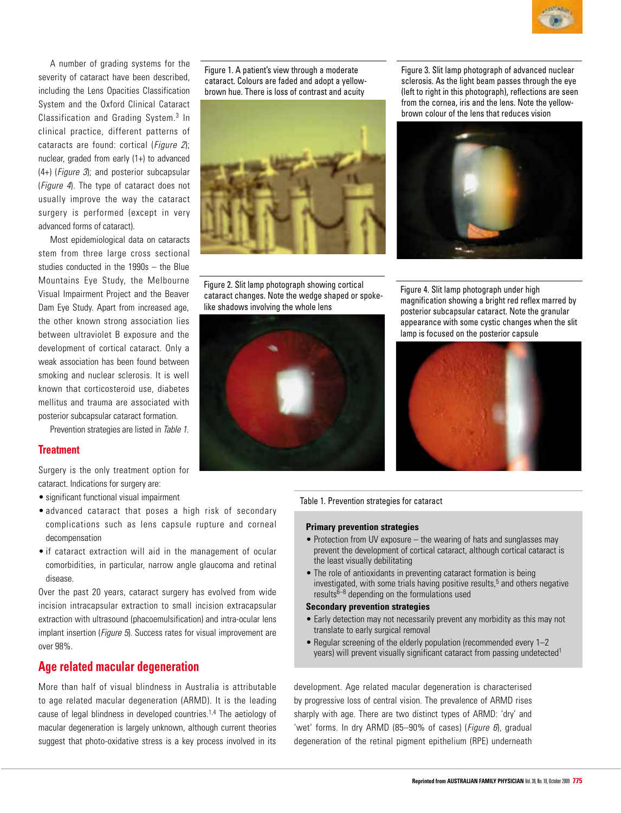

A number of grading systems for the severity of cataract have been described, including the Lens Opacities Classification System and the Oxford Clinical Cataract Classification and Grading System.3 In clinical practice, different patterns of cataracts are found: cortical (*Figure 2*): nuclear, graded from early (1+) to advanced (4+) (Figure 3); and posterior subcapsular (Figure 4). The type of cataract does not usually improve the way the cataract surgery is performed (except in very advanced forms of cataract).

Most epidemiological data on cataracts stem from three large cross sectional studies conducted in the 1990s – the Blue Mountains Eye Study, the Melbourne Visual Impairment Project and the Beaver Dam Eye Study. Apart from increased age, the other known strong association lies between ultraviolet B exposure and the development of cortical cataract. Only a weak association has been found between smoking and nuclear sclerosis. It is well known that corticosteroid use, diabetes mellitus and trauma are associated with posterior subcapsular cataract formation.

Prevention strategies are listed in Table 1.

# **Treatment**

Surgery is the only treatment option for cataract. Indications for surgery are:

- significant functional visual impairment
- advanced cataract that poses a high risk of secondary complications such as lens capsule rupture and corneal decompensation
- if cataract extraction will aid in the management of ocular comorbidities, in particular, narrow angle glaucoma and retinal disease.

Over the past 20 years, cataract surgery has evolved from wide incision intracapsular extraction to small incision extracapsular extraction with ultrasound (phacoemulsification) and intra-ocular lens implant insertion (*Figure 5*). Success rates for visual improvement are over 98%.

# **Age related macular degeneration**

More than half of visual blindness in Australia is attributable to age related macular degeneration (ARMD). It is the leading cause of legal blindness in developed countries.1,4 The aetiology of macular degeneration is largely unknown, although current theories suggest that photo-oxidative stress is a key process involved in its

Figure 1. A patient's view through a moderate cataract. Colours are faded and adopt a yellowbrown hue. There is loss of contrast and acuity



Figure 2. Slit lamp photograph showing cortical cataract changes. Note the wedge shaped or spokelike shadows involving the whole lens



Figure 3. Slit lamp photograph of advanced nuclear sclerosis. As the light beam passes through the eye (left to right in this photograph), reflections are seen from the cornea, iris and the lens. Note the yellowbrown colour of the lens that reduces vision



Figure 4. Slit lamp photograph under high magnification showing a bright red reflex marred by posterior subcapsular cataract. Note the granular appearance with some cystic changes when the slit lamp is focused on the posterior capsule



Table 1. Prevention strategies for cataract

### **Primary prevention strategies**

- Protection from UV exposure the wearing of hats and sunglasses may prevent the development of cortical cataract, although cortical cataract is the least visually debilitating
- The role of antioxidants in preventing cataract formation is being investigated, with some trials having positive results,<sup>5</sup> and others negative results $6-8$  depending on the formulations used

# **Secondary prevention strategies**

- Early detection may not necessarily prevent any morbidity as this may not translate to early surgical removal
- Regular screening of the elderly population (recommended every 1–2) years) will prevent visually significant cataract from passing undetected<sup>1</sup>

development. Age related macular degeneration is characterised by progressive loss of central vision. The prevalence of ARMD rises sharply with age. There are two distinct types of ARMD: 'dry' and 'wet' forms. In dry ARMD (85-90% of cases) (*Figure 6*), gradual degeneration of the retinal pigment epithelium (RPE) underneath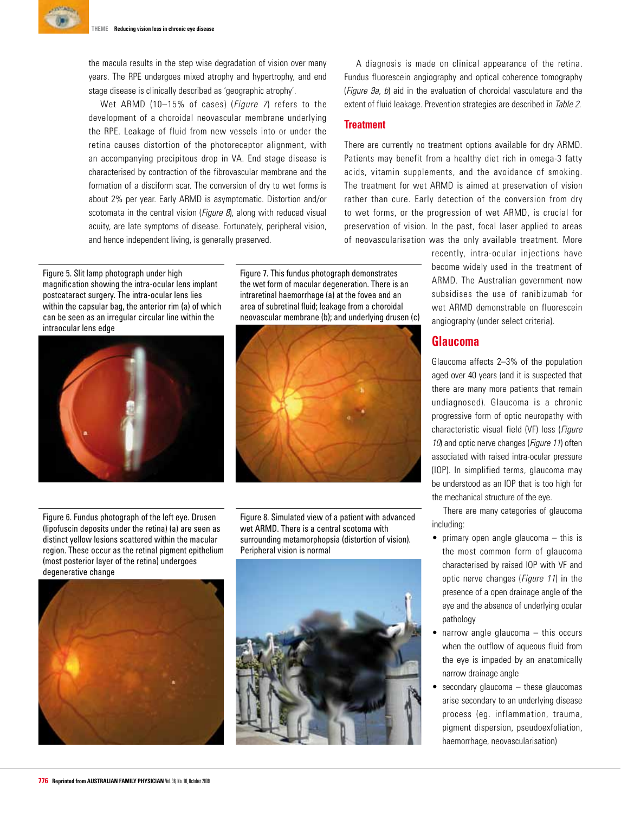the macula results in the step wise degradation of vision over many years. The RPE undergoes mixed atrophy and hypertrophy, and end stage disease is clinically described as 'geographic atrophy'.

Wet ARMD (10-15% of cases) (*Figure 7*) refers to the development of a choroidal neovascular membrane underlying the RPE. Leakage of fluid from new vessels into or under the retina causes distortion of the photoreceptor alignment, with an accompanying precipitous drop in VA. End stage disease is characterised by contraction of the fibrovascular membrane and the formation of a disciform scar. The conversion of dry to wet forms is about 2% per year. Early ARMD is asymptomatic. Distortion and/or scotomata in the central vision (*Figure 8*), along with reduced visual acuity, are late symptoms of disease. Fortunately, peripheral vision, and hence independent living, is generally preserved.

Figure 5. Slit lamp photograph under high magnification showing the intra-ocular lens implant postcataract surgery. The intra-ocular lens lies within the capsular bag, the anterior rim (a) of which can be seen as an irregular circular line within the intraocular lens edge



Figure 7. This fundus photograph demonstrates the wet form of macular degeneration. There is an intraretinal haemorrhage (a) at the fovea and an area of subretinal fluid; leakage from a choroidal neovascular membrane (b); and underlying drusen (c)



Figure 6. Fundus photograph of the left eye. Drusen (lipofuscin deposits under the retina) (a) are seen as distinct yellow lesions scattered within the macular region. These occur as the retinal pigment epithelium (most posterior layer of the retina) undergoes degenerative change

Figure 8. Simulated view of a patient with advanced wet ARMD. There is a central scotoma with surrounding metamorphopsia (distortion of vision). Peripheral vision is normal





A diagnosis is made on clinical appearance of the retina. Fundus fluorescein angiography and optical coherence tomography (Figure 9a, b) aid in the evaluation of choroidal vasculature and the extent of fluid leakage. Prevention strategies are described in Table 2.

### **Treatment**

There are currently no treatment options available for dry ARMD. Patients may benefit from a healthy diet rich in omega-3 fatty acids, vitamin supplements, and the avoidance of smoking. The treatment for wet ARMD is aimed at preservation of vision rather than cure. Early detection of the conversion from dry to wet forms, or the progression of wet ARMD, is crucial for preservation of vision. In the past, focal laser applied to areas of neovascularisation was the only available treatment. More

> recently, intra-ocular injections have become widely used in the treatment of ARMD. The Australian government now subsidises the use of ranibizumab for wet ARMD demonstrable on fluorescein angiography (under select criteria).

# **Glaucoma**

Glaucoma affects 2–3% of the population aged over 40 years (and it is suspected that there are many more patients that remain undiagnosed). Glaucoma is a chronic progressive form of optic neuropathy with characteristic visual field (VF) loss (Figure 10) and optic nerve changes (*Figure 11*) often associated with raised intra-ocular pressure (IOP). In simplified terms, glaucoma may be understood as an IOP that is too high for the mechanical structure of the eye.

There are many categories of glaucoma including:

- primary open angle glaucoma  $-$  this is the most common form of glaucoma characterised by raised IOP with VF and optic nerve changes (Figure 11) in the presence of a open drainage angle of the eye and the absence of underlying ocular pathology
- $\bullet$  narrow angle glaucoma  $-$  this occurs when the outflow of aqueous fluid from the eye is impeded by an anatomically narrow drainage angle
- $\bullet$  secondary glaucoma  $-$  these glaucomas arise secondary to an underlying disease process (eg. inflammation, trauma, pigment dispersion, pseudoexfoliation, haemorrhage, neovascularisation)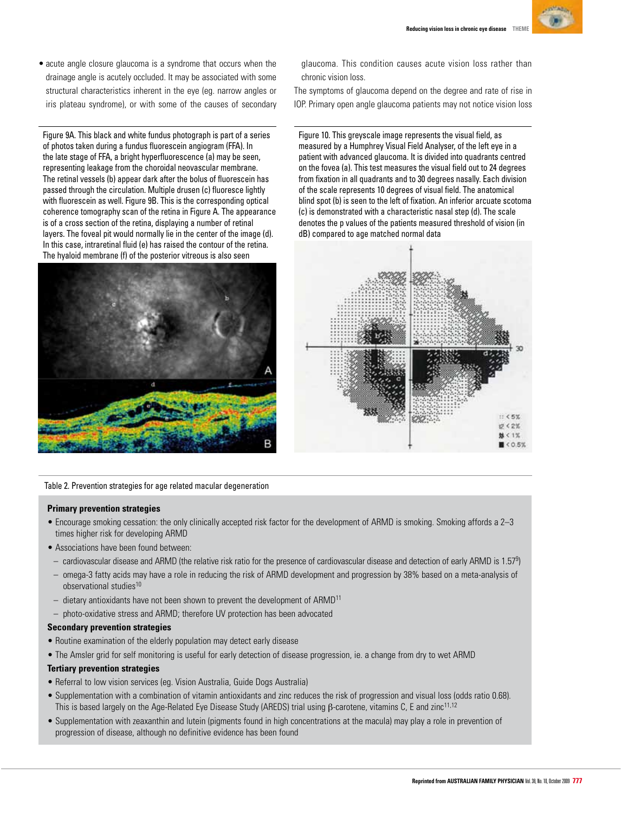

• acute angle closure glaucoma is a syndrome that occurs when the drainage angle is acutely occluded. It may be associated with some structural characteristics inherent in the eye (eg. narrow angles or iris plateau syndrome), or with some of the causes of secondary

Figure 9A. This black and white fundus photograph is part of a series of photos taken during a fundus fluorescein angiogram (FFA). In the late stage of FFA, a bright hyperfluorescence (a) may be seen, representing leakage from the choroidal neovascular membrane. The retinal vessels (b) appear dark after the bolus of fluorescein has passed through the circulation. Multiple drusen (c) fluoresce lightly with fluorescein as well. Figure 9B. This is the corresponding optical coherence tomography scan of the retina in Figure A. The appearance is of a cross section of the retina, displaying a number of retinal layers. The foveal pit would normally lie in the center of the image (d). In this case, intraretinal fluid (e) has raised the contour of the retina. The hyaloid membrane (f) of the posterior vitreous is also seen



Table 2. Prevention strategies for age related macular degeneration

# **Primary prevention strategies**

- Encourage smoking cessation: the only clinically accepted risk factor for the development of ARMD is smoking. Smoking affords a 2–3 times higher risk for developing ARMD
- Associations have been found between:
	- $-$  cardiovascular disease and ARMD (the relative risk ratio for the presence of cardiovascular disease and detection of early ARMD is 1.57<sup>9</sup>)
- omega-3 fatty acids may have a role in reducing the risk of ARMD development and progression by 38% based on a meta-analysis of observational studies10
- $-$  dietary antioxidants have not been shown to prevent the development of ARMD<sup>11</sup>
- photo-oxidative stress and ARMD; therefore UV protection has been advocated

# **Secondary prevention strategies**

- Routine examination of the elderly population may detect early disease
- The Amsler grid for self monitoring is useful for early detection of disease progression, ie. a change from dry to wet ARMD

# **Tertiary prevention strategies**

- Referral to low vision services (eg. Vision Australia, Guide Dogs Australia)
- Supplementation with a combination of vitamin antioxidants and zinc reduces the risk of progression and visual loss (odds ratio 0.68). This is based largely on the Age-Related Eye Disease Study (AREDS) trial using β-carotene, vitamins C, E and zinc11,12
- Supplementation with zeaxanthin and lutein (pigments found in high concentrations at the macula) may play a role in prevention of progression of disease, although no definitive evidence has been found

glaucoma. This condition causes acute vision loss rather than chronic vision loss.

The symptoms of glaucoma depend on the degree and rate of rise in IOP. Primary open angle glaucoma patients may not notice vision loss

Figure 10. This greyscale image represents the visual field, as measured by a Humphrey Visual Field Analyser, of the left eye in a patient with advanced glaucoma. It is divided into quadrants centred on the fovea (a). This test measures the visual field out to 24 degrees from fixation in all quadrants and to 30 degrees nasally. Each division of the scale represents 10 degrees of visual field. The anatomical blind spot (b) is seen to the left of fixation. An inferior arcuate scotoma (c) is demonstrated with a characteristic nasal step (d). The scale denotes the p values of the patients measured threshold of vision (in dB) compared to age matched normal data

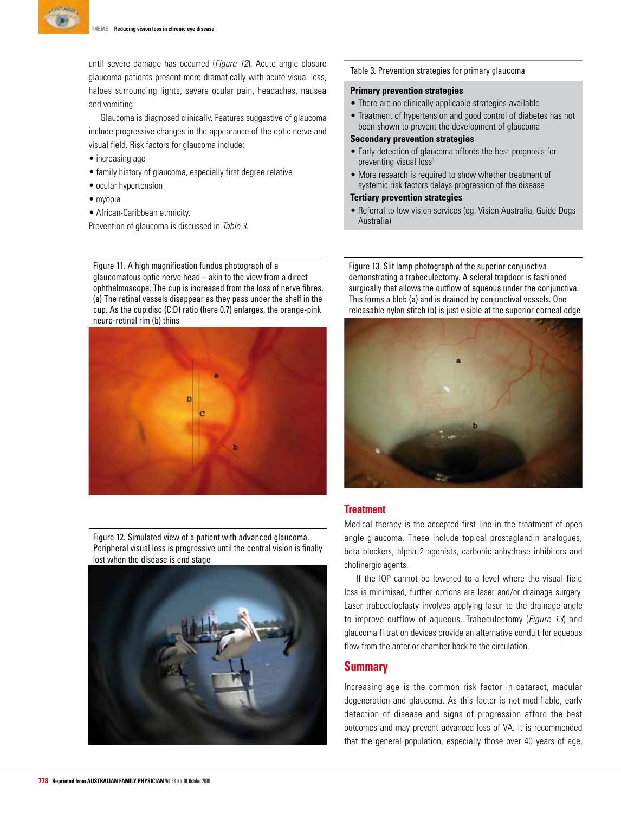

until severe damage has occurred (*Figure 12*). Acute angle closure glaucoma patients present more dramatically with acute visual loss, haloes surrounding lights, severe ocular pain, headaches, nausea and vomiting.

Glaucoma is diagnosed clinically. Features suggestive of glaucoma include progressive changes in the appearance of the optic nerve and visual field. Risk factors for glaucoma include:

- increasing age
- family history of glaucoma, especially first degree relative
- ocular hypertension
- myopia
- • African-Caribbean ethnicity.

Prevention of glaucoma is discussed in Table 3.

Figure 11. A high magnification fundus photograph of a glaucomatous optic nerve head – akin to the view from a direct ophthalmoscope. The cup is increased from the loss of nerve fibres. (a) The retinal vessels disappear as they pass under the shelf in the cup. As the cup:disc (C:D) ratio (here 0.7) enlarges, the orange-pink neuro-retinal rim (b) thins



Figure 12. Simulated view of a patient with advanced glaucoma. Peripheral visual loss is progressive until the central vision is finally lost when the disease is end stage



### Table 3. Prevention strategies for primary glaucoma

# **Primary prevention strategies**

- There are no clinically applicable strategies available
- Treatment of hypertension and good control of diabetes has not been shown to prevent the development of glaucoma

### **Secondary prevention strategies**

- Early detection of glaucoma affords the best prognosis for preventing visual loss<sup>1</sup>
- More research is required to show whether treatment of systemic risk factors delays progression of the disease

### **Tertiary prevention strategies**

• Referral to low vision services (eg. Vision Australia, Guide Dogs Australia)

Figure 13. Slit lamp photograph of the superior conjunctiva demonstrating a trabeculectomy. A scleral trapdoor is fashioned surgically that allows the outflow of aqueous under the conjunctiva. This forms a bleb (a) and is drained by conjunctival vessels. One releasable nylon stitch (b) is just visible at the superior corneal edge



# **Treatment**

Medical therapy is the accepted first line in the treatment of open angle glaucoma. These include topical prostaglandin analogues, beta blockers, alpha 2 agonists, carbonic anhydrase inhibitors and cholinergic agents.

If the IOP cannot be lowered to a level where the visual field loss is minimised, further options are laser and/or drainage surgery. Laser trabeculoplasty involves applying laser to the drainage angle to improve outflow of aqueous. Trabeculectomy (*Figure 13*) and glaucoma filtration devices provide an alternative conduit for aqueous flow from the anterior chamber back to the circulation.

# **Summary**

Increasing age is the common risk factor in cataract, macular degeneration and glaucoma. As this factor is not modifiable, early detection of disease and signs of progression afford the best outcomes and may prevent advanced loss of VA. It is recommended that the general population, especially those over 40 years of age,